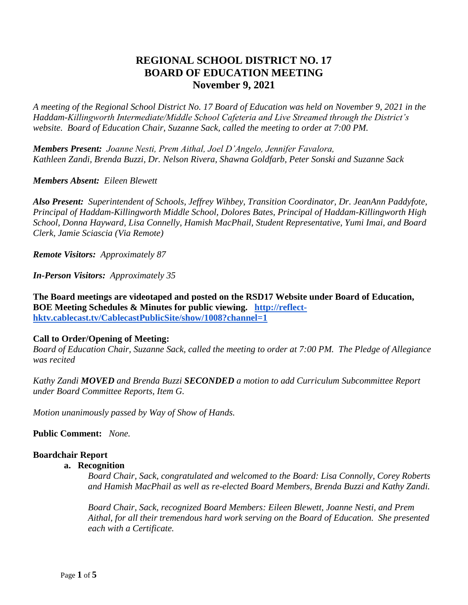# **REGIONAL SCHOOL DISTRICT NO. 17 BOARD OF EDUCATION MEETING November 9, 2021**

*A meeting of the Regional School District No. 17 Board of Education was held on November 9, 2021 in the Haddam-Killingworth Intermediate/Middle School Cafeteria and Live Streamed through the District's website. Board of Education Chair, Suzanne Sack, called the meeting to order at 7:00 PM.*

*Members Present: Joanne Nesti, Prem Aithal, Joel D'Angelo, Jennifer Favalora, Kathleen Zandi, Brenda Buzzi, Dr. Nelson Rivera, Shawna Goldfarb, Peter Sonski and Suzanne Sack*

*Members Absent: Eileen Blewett*

*Also Present: Superintendent of Schools, Jeffrey Wihbey, Transition Coordinator, Dr. JeanAnn Paddyfote, Principal of Haddam-Killingworth Middle School, Dolores Bates, Principal of Haddam-Killingworth High School, Donna Hayward, Lisa Connelly, Hamish MacPhail, Student Representative, Yumi Imai, and Board Clerk, Jamie Sciascia (Via Remote)*

*Remote Visitors: Approximately 87*

*In-Person Visitors: Approximately 35*

**The Board meetings are videotaped and posted on the RSD17 Website under Board of Education, BOE Meeting Schedules & Minutes for public viewing. [http://reflect](http://reflect-hktv.cablecast.tv/CablecastPublicSite/show/1008?channel=1)[hktv.cablecast.tv/CablecastPublicSite/show/1008?channel=1](http://reflect-hktv.cablecast.tv/CablecastPublicSite/show/1008?channel=1)**

### **Call to Order/Opening of Meeting:**

*Board of Education Chair, Suzanne Sack, called the meeting to order at 7:00 PM. The Pledge of Allegiance was recited*

*Kathy Zandi MOVED and Brenda Buzzi SECONDED a motion to add Curriculum Subcommittee Report under Board Committee Reports, Item G.*

*Motion unanimously passed by Way of Show of Hands.*

**Public Comment:** *None.*

### **Boardchair Report**

### **a. Recognition**

*Board Chair, Sack, congratulated and welcomed to the Board: Lisa Connolly, Corey Roberts and Hamish MacPhail as well as re-elected Board Members, Brenda Buzzi and Kathy Zandi.*

*Board Chair, Sack, recognized Board Members: Eileen Blewett, Joanne Nesti, and Prem Aithal, for all their tremendous hard work serving on the Board of Education. She presented each with a Certificate.*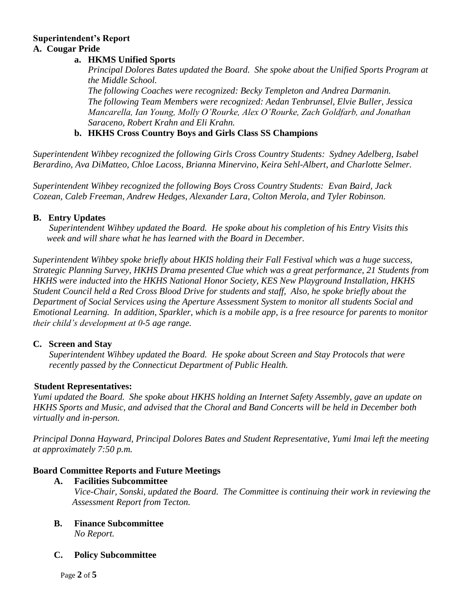# **Superintendent's Report A. Cougar Pride**

## **a. HKMS Unified Sports**

*Principal Dolores Bates updated the Board. She spoke about the Unified Sports Program at the Middle School. The following Coaches were recognized: Becky Templeton and Andrea Darmanin. The following Team Members were recognized: Aedan Tenbrunsel, Elvie Buller, Jessica Mancarella, Ian Young, Molly O'Rourke, Alex O'Rourke, Zach Goldfarb, and Jonathan Saraceno, Robert Krahn and Eli Krahn.*

## **b. HKHS Cross Country Boys and Girls Class SS Champions**

*Superintendent Wihbey recognized the following Girls Cross Country Students: Sydney Adelberg, Isabel Berardino, Ava DiMatteo, Chloe Lacoss, Brianna Minervino, Keira Sehl-Albert, and Charlotte Selmer.*

*Superintendent Wihbey recognized the following Boys Cross Country Students: Evan Baird, Jack Cozean, Caleb Freeman, Andrew Hedges, Alexander Lara, Colton Merola, and Tyler Robinson.*

### **B. Entry Updates**

*Superintendent Wihbey updated the Board. He spoke about his completion of his Entry Visits this week and will share what he has learned with the Board in December.* 

*Superintendent Wihbey spoke briefly about HKIS holding their Fall Festival which was a huge success, Strategic Planning Survey, HKHS Drama presented Clue which was a great performance, 21 Students from HKHS were inducted into the HKHS National Honor Society, KES New Playground Installation, HKHS Student Council held a Red Cross Blood Drive for students and staff, Also, he spoke briefly about the Department of Social Services using the Aperture Assessment System to monitor all students Social and Emotional Learning. In addition, Sparkler, which is a mobile app, is a free resource for parents to monitor their child's development at 0-5 age range.*

### **C. Screen and Stay**

*Superintendent Wihbey updated the Board. He spoke about Screen and Stay Protocols that were recently passed by the Connecticut Department of Public Health.*

### **Student Representatives:**

*Yumi updated the Board. She spoke about HKHS holding an Internet Safety Assembly, gave an update on HKHS Sports and Music, and advised that the Choral and Band Concerts will be held in December both virtually and in-person.*

*Principal Donna Hayward, Principal Dolores Bates and Student Representative, Yumi Imai left the meeting at approximately 7:50 p.m.*

## **Board Committee Reports and Future Meetings**

- **A. Facilities Subcommittee**  *Vice-Chair, Sonski, updated the Board. The Committee is continuing their work in reviewing the Assessment Report from Tecton.*
- **B. Finance Subcommittee** *No Report.*

### **C. Policy Subcommittee**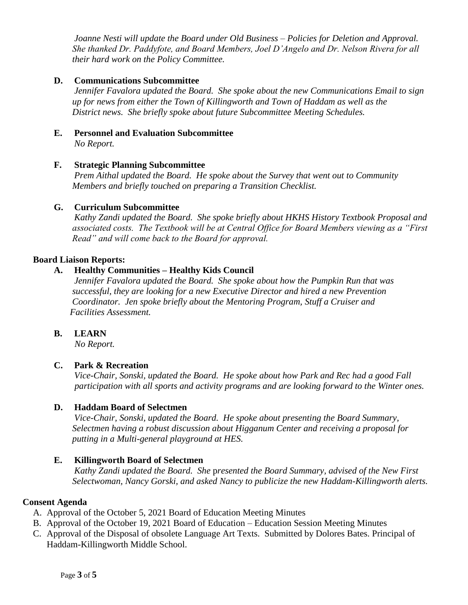*Joanne Nesti will update the Board under Old Business – Policies for Deletion and Approval. She thanked Dr. Paddyfote, and Board Members, Joel D'Angelo and Dr. Nelson Rivera for all their hard work on the Policy Committee.*

## **D. Communications Subcommittee**

*Jennifer Favalora updated the Board. She spoke about the new Communications Email to sign up for news from either the Town of Killingworth and Town of Haddam as well as the District news. She briefly spoke about future Subcommittee Meeting Schedules.*

**E. Personnel and Evaluation Subcommittee** *No Report.*

### **F. Strategic Planning Subcommittee**

*Prem Aithal updated the Board. He spoke about the Survey that went out to Community Members and briefly touched on preparing a Transition Checklist.* 

#### **G. Curriculum Subcommittee**

*Kathy Zandi updated the Board. She spoke briefly about HKHS History Textbook Proposal and associated costs. The Textbook will be at Central Office for Board Members viewing as a "First Read" and will come back to the Board for approval.* 

#### **Board Liaison Reports:**

### **A. Healthy Communities – Healthy Kids Council**

*Jennifer Favalora updated the Board. She spoke about how the Pumpkin Run that was successful, they are looking for a new Executive Director and hired a new Prevention Coordinator. Jen spoke briefly about the Mentoring Program, Stuff a Cruiser and Facilities Assessment.*

### **B. LEARN**

*No Report.*

### **C. Park & Recreation**

*Vice-Chair, Sonski, updated the Board. He spoke about how Park and Rec had a good Fall participation with all sports and activity programs and are looking forward to the Winter ones.*

### **D. Haddam Board of Selectmen**

*Vice-Chair, Sonski, updated the Board. He spoke about presenting the Board Summary, Selectmen having a robust discussion about Higganum Center and receiving a proposal for putting in a Multi-general playground at HES.* 

### **E. Killingworth Board of Selectmen**

*Kathy Zandi updated the Board. She* p*resented the Board Summary, advised of the New First Selectwoman, Nancy Gorski, and asked Nancy to publicize the new Haddam-Killingworth alerts.*

#### **Consent Agenda**

- A. Approval of the October 5, 2021 Board of Education Meeting Minutes
- B. Approval of the October 19, 2021 Board of Education Education Session Meeting Minutes
- C. Approval of the Disposal of obsolete Language Art Texts. Submitted by Dolores Bates. Principal of Haddam-Killingworth Middle School.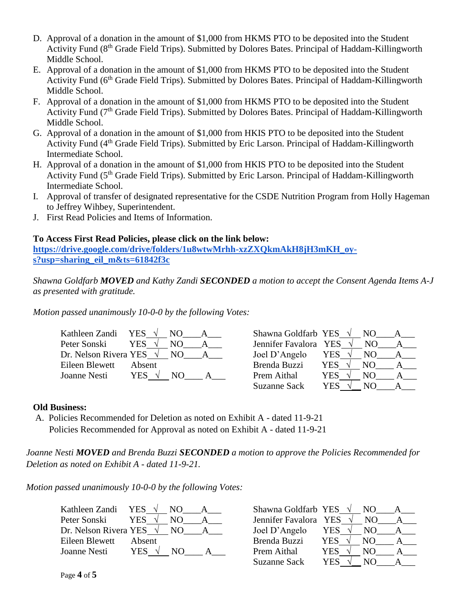- D. Approval of a donation in the amount of \$1,000 from HKMS PTO to be deposited into the Student Activity Fund (8<sup>th</sup> Grade Field Trips). Submitted by Dolores Bates. Principal of Haddam-Killingworth Middle School.
- E. Approval of a donation in the amount of \$1,000 from HKMS PTO to be deposited into the Student Activity Fund (6<sup>th</sup> Grade Field Trips). Submitted by Dolores Bates. Principal of Haddam-Killingworth Middle School.
- F. Approval of a donation in the amount of \$1,000 from HKMS PTO to be deposited into the Student Activity Fund  $(7<sup>th</sup>$  Grade Field Trips). Submitted by Dolores Bates. Principal of Haddam-Killingworth Middle School.
- G. Approval of a donation in the amount of \$1,000 from HKIS PTO to be deposited into the Student Activity Fund (4<sup>th</sup> Grade Field Trips). Submitted by Eric Larson. Principal of Haddam-Killingworth Intermediate School.
- H. Approval of a donation in the amount of \$1,000 from HKIS PTO to be deposited into the Student Activity Fund (5<sup>th</sup> Grade Field Trips). Submitted by Eric Larson. Principal of Haddam-Killingworth Intermediate School.
- I. Approval of transfer of designated representative for the CSDE Nutrition Program from Holly Hageman to Jeffrey Wihbey, Superintendent.
- J. First Read Policies and Items of Information.

## **To Access First Read Policies, please click on the link below:**

**[https://drive.google.com/drive/folders/1u8wtwMrhh-xzZXQkmAkH8jH3mKH\\_oy](https://drive.google.com/drive/folders/1u8wtwMrhh-xzZXQkmAkH8jH3mKH_oy-s?usp=sharing_eil_m&ts=61842f3c)[s?usp=sharing\\_eil\\_m&ts=61842f3c](https://drive.google.com/drive/folders/1u8wtwMrhh-xzZXQkmAkH8jH3mKH_oy-s?usp=sharing_eil_m&ts=61842f3c)**

*Shawna Goldfarb MOVED and Kathy Zandi SECONDED a motion to accept the Consent Agenda Items A-J as presented with gratitude.*

*Motion passed unanimously 10-0-0 by the following Votes:*

| Kathleen Zandi YES              |                | NO. | Shawna Goldfarb YES $\sqrt{}$ |            | NO. |  |
|---------------------------------|----------------|-----|-------------------------------|------------|-----|--|
| Peter Sonski                    | <b>YES</b>     | NO. | Jennifer Favalora YES         |            | NO. |  |
| Dr. Nelson Rivera YES $\sqrt{}$ |                | NO. | Joel D'Angelo                 | <b>YES</b> | NO. |  |
| Eileen Blewett                  | Absent         |     | Brenda Buzzi                  | <b>YES</b> | NO. |  |
| Joanne Nesti                    | YES $\sqrt{ }$ | NO. | Prem Aithal                   | YES        | NO  |  |
|                                 |                |     | <b>Suzanne Sack</b>           | YES        | NO  |  |

### **Old Business:**

A. Policies Recommended for Deletion as noted on Exhibit A - dated 11-9-21 Policies Recommended for Approval as noted on Exhibit A - dated 11-9-21

*Joanne Nesti MOVED and Brenda Buzzi SECONDED a motion to approve the Policies Recommended for Deletion as noted on Exhibit A - dated 11-9-21.*

*Motion passed unanimously 10-0-0 by the following Votes:*

| Kathleen Zandi YES $\sqrt{}$      |        | NO. | Shawna Goldfarb YES $\sqrt{}$ |      | NO. |  |
|-----------------------------------|--------|-----|-------------------------------|------|-----|--|
| Peter Sonski                      | YES.   | NO. | Jennifer Favalora YES         |      | NO. |  |
| Dr. Nelson Rivera YES $\sqrt{NO}$ |        |     | Joel D'Angelo                 | YES  | NO. |  |
| Eileen Blewett                    | Absent |     | Brenda Buzzi                  | YES. | NO. |  |
| Joanne Nesti                      | YES-   | NΩ  | Prem Aithal                   | YES  | NΟ  |  |
|                                   |        |     | <b>Suzanne Sack</b>           | YES  | NO  |  |